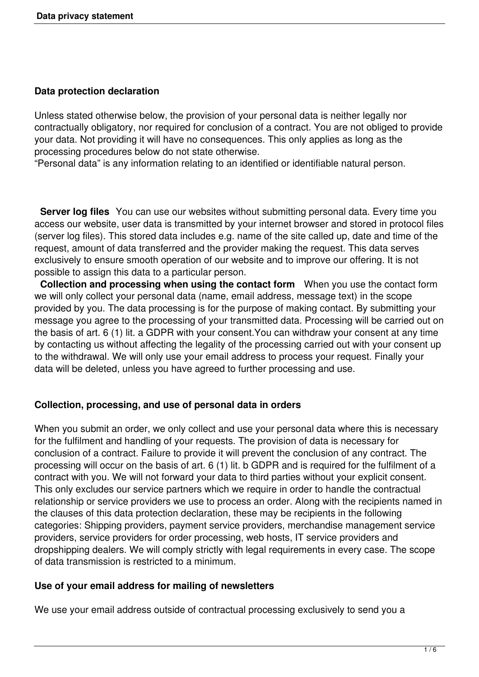#### **Data protection declaration**

Unless stated otherwise below, the provision of your personal data is neither legally nor contractually obligatory, nor required for conclusion of a contract. You are not obliged to provide your data. Not providing it will have no consequences. This only applies as long as the processing procedures below do not state otherwise.

"Personal data" is any information relating to an identified or identifiable natural person.

 **Server log files** You can use our websites without submitting personal data. Every time you access our website, user data is transmitted by your internet browser and stored in protocol files (server log files). This stored data includes e.g. name of the site called up, date and time of the request, amount of data transferred and the provider making the request. This data serves exclusively to ensure smooth operation of our website and to improve our offering. It is not possible to assign this data to a particular person.

 **Collection and processing when using the contact form** When you use the contact form we will only collect your personal data (name, email address, message text) in the scope provided by you. The data processing is for the purpose of making contact. By submitting your message you agree to the processing of your transmitted data. Processing will be carried out on the basis of art. 6 (1) lit. a GDPR with your consent.You can withdraw your consent at any time by contacting us without affecting the legality of the processing carried out with your consent up to the withdrawal. We will only use your email address to process your request. Finally your data will be deleted, unless you have agreed to further processing and use.

### **Collection, processing, and use of personal data in orders**

When you submit an order, we only collect and use your personal data where this is necessary for the fulfilment and handling of your requests. The provision of data is necessary for conclusion of a contract. Failure to provide it will prevent the conclusion of any contract. The processing will occur on the basis of art. 6 (1) lit. b GDPR and is required for the fulfilment of a contract with you. We will not forward your data to third parties without your explicit consent. This only excludes our service partners which we require in order to handle the contractual relationship or service providers we use to process an order. Along with the recipients named in the clauses of this data protection declaration, these may be recipients in the following categories: Shipping providers, payment service providers, merchandise management service providers, service providers for order processing, web hosts, IT service providers and dropshipping dealers. We will comply strictly with legal requirements in every case. The scope of data transmission is restricted to a minimum.

### **Use of your email address for mailing of newsletters**

We use your email address outside of contractual processing exclusively to send you a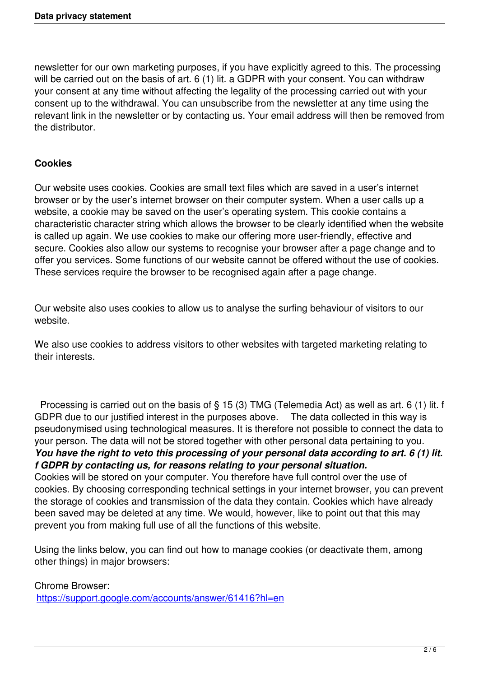newsletter for our own marketing purposes, if you have explicitly agreed to this. The processing will be carried out on the basis of art. 6 (1) lit. a GDPR with your consent. You can withdraw your consent at any time without affecting the legality of the processing carried out with your consent up to the withdrawal. You can unsubscribe from the newsletter at any time using the relevant link in the newsletter or by contacting us. Your email address will then be removed from the distributor.

### **Cookies**

Our website uses cookies. Cookies are small text files which are saved in a user's internet browser or by the user's internet browser on their computer system. When a user calls up a website, a cookie may be saved on the user's operating system. This cookie contains a characteristic character string which allows the browser to be clearly identified when the website is called up again. We use cookies to make our offering more user-friendly, effective and secure. Cookies also allow our systems to recognise your browser after a page change and to offer you services. Some functions of our website cannot be offered without the use of cookies. These services require the browser to be recognised again after a page change.

Our website also uses cookies to allow us to analyse the surfing behaviour of visitors to our website.

We also use cookies to address visitors to other websites with targeted marketing relating to their interests.

 Processing is carried out on the basis of § 15 (3) TMG (Telemedia Act) as well as art. 6 (1) lit. f GDPR due to our justified interest in the purposes above. The data collected in this way is pseudonymised using technological measures. It is therefore not possible to connect the data to your person. The data will not be stored together with other personal data pertaining to you. *You have the right to veto this processing of your personal data according to art. 6 (1) lit. f GDPR by contacting us, for reasons relating to your personal situation.* Cookies will be stored on your computer. You therefore have full control over the use of cookies. By choosing corresponding technical settings in your internet browser, you can prevent the storage of cookies and transmission of the data they contain. Cookies which have already been saved may be deleted at any time. We would, however, like to point out that this may

prevent you from making full use of all the functions of this website.

Using the links below, you can find out how to manage cookies (or deactivate them, among other things) in major browsers:

Chrome Browser: https://support.google.com/accounts/answer/61416?hl=en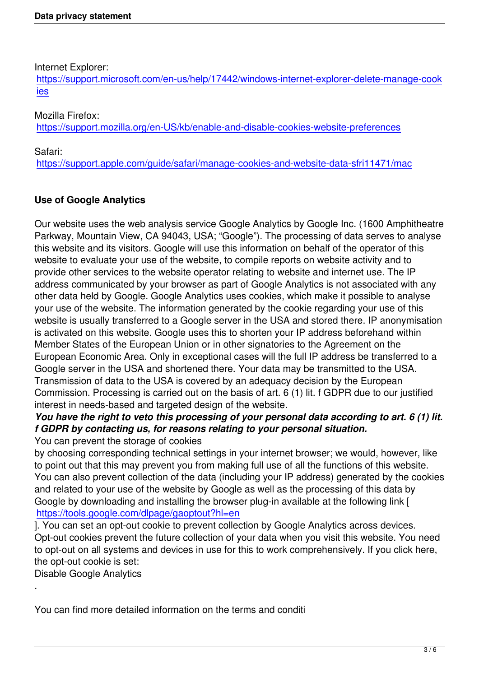Internet Explorer:

https://support.microsoft.com/en-us/help/17442/windows-internet-explorer-delete-manage-cook ies

# [Mozilla Firefox:](https://support.microsoft.com/en-us/help/17442/windows-internet-explorer-delete-manage-cookies)

[http](https://support.microsoft.com/en-us/help/17442/windows-internet-explorer-delete-manage-cookies)s://support.mozilla.org/en-US/kb/enable-and-disable-cookies-website-preferences

Safari:

[https://support.apple.com/guide/safari/manage-cookies-and-website-data-sfri11471/m](https://support.mozilla.org/en-US/kb/enable-and-disable-cookies-website-preferences)ac

# **[Use of Google Analytics](https://support.apple.com/guide/safari/manage-cookies-and-website-data-sfri11471/mac)**

Our website uses the web analysis service Google Analytics by Google Inc. (1600 Amphitheatre Parkway, Mountain View, CA 94043, USA; "Google"). The processing of data serves to analyse this website and its visitors. Google will use this information on behalf of the operator of this website to evaluate your use of the website, to compile reports on website activity and to provide other services to the website operator relating to website and internet use. The IP address communicated by your browser as part of Google Analytics is not associated with any other data held by Google. Google Analytics uses cookies, which make it possible to analyse your use of the website. The information generated by the cookie regarding your use of this website is usually transferred to a Google server in the USA and stored there. IP anonymisation is activated on this website. Google uses this to shorten your IP address beforehand within Member States of the European Union or in other signatories to the Agreement on the European Economic Area. Only in exceptional cases will the full IP address be transferred to a Google server in the USA and shortened there. Your data may be transmitted to the USA. Transmission of data to the USA is covered by an adequacy decision by the European Commission. Processing is carried out on the basis of art. 6 (1) lit. f GDPR due to our justified interest in needs-based and targeted design of the website.

# *You have the right to veto this processing of your personal data according to art. 6 (1) lit. f GDPR by contacting us, for reasons relating to your personal situation.*

You can prevent the storage of cookies

by choosing corresponding technical settings in your internet browser; we would, however, like to point out that this may prevent you from making full use of all the functions of this website. You can also prevent collection of the data (including your IP address) generated by the cookies and related to your use of the website by Google as well as the processing of this data by Google by downloading and installing the browser plug-in available at the following link [ https://tools.google.com/dlpage/gaoptout?hl=en

]. You can set an opt-out cookie to prevent collection by Google Analytics across devices. Opt-out cookies prevent the future collection of your data when you visit this website. You need [to opt-out on all systems and devices in use for t](https://tools.google.com/dlpage/gaoptout?hl=en)his to work comprehensively. If you click here, the opt-out cookie is set:

Disable Google Analytics

.

You can find more detailed information on the terms and conditi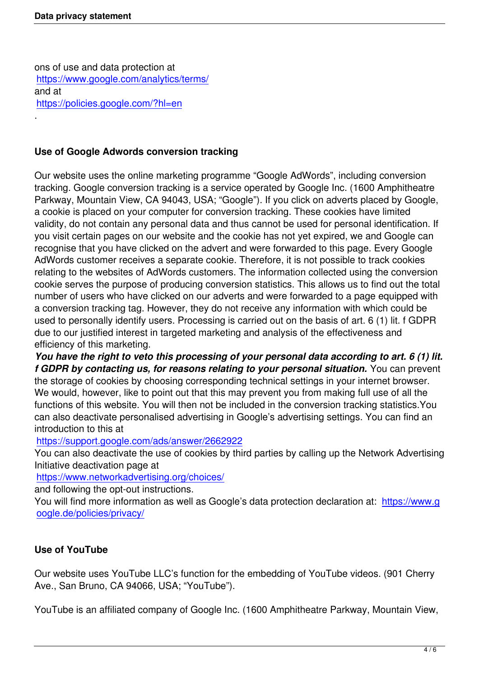ons of use and data protection at https://www.google.com/analytics/terms/ and at https://policies.google.com/?hl=en [.](https://www.google.com/analytics/terms/)

### **[Use of Google Adwords convers](https://policies.google.com/?hl=en)ion tracking**

Our website uses the online marketing programme "Google AdWords", including conversion tracking. Google conversion tracking is a service operated by Google Inc. (1600 Amphitheatre Parkway, Mountain View, CA 94043, USA; "Google"). If you click on adverts placed by Google, a cookie is placed on your computer for conversion tracking. These cookies have limited validity, do not contain any personal data and thus cannot be used for personal identification. If you visit certain pages on our website and the cookie has not yet expired, we and Google can recognise that you have clicked on the advert and were forwarded to this page. Every Google AdWords customer receives a separate cookie. Therefore, it is not possible to track cookies relating to the websites of AdWords customers. The information collected using the conversion cookie serves the purpose of producing conversion statistics. This allows us to find out the total number of users who have clicked on our adverts and were forwarded to a page equipped with a conversion tracking tag. However, they do not receive any information with which could be used to personally identify users. Processing is carried out on the basis of art. 6 (1) lit. f GDPR due to our justified interest in targeted marketing and analysis of the effectiveness and efficiency of this marketing.

*You have the right to veto this processing of your personal data according to art. 6 (1) lit. f GDPR by contacting us, for reasons relating to your personal situation.* You can prevent the storage of cookies by choosing corresponding technical settings in your internet browser. We would, however, like to point out that this may prevent you from making full use of all the functions of this website. You will then not be included in the conversion tracking statistics.You can also deactivate personalised advertising in Google's advertising settings. You can find an introduction to this at

### https://support.google.com/ads/answer/2662922

You can also deactivate the use of cookies by third parties by calling up the Network Advertising Initiative deactivation page at

[https://www.networkadvertising.org/choices/](https://support.google.com/ads/answer/2662922)

and following the opt-out instructions.

You will find more information as well as Google's data protection declaration at: https://www.g [oogle.de/policies/privacy/](https://www.networkadvertising.org/choices/)

### **[Use of YouTube](https://www.google.de/policies/privacy/)**

Our website uses YouTube LLC's function for the embedding of YouTube videos. (901 Cherry Ave., San Bruno, CA 94066, USA; "YouTube").

YouTube is an affiliated company of Google Inc. (1600 Amphitheatre Parkway, Mountain View,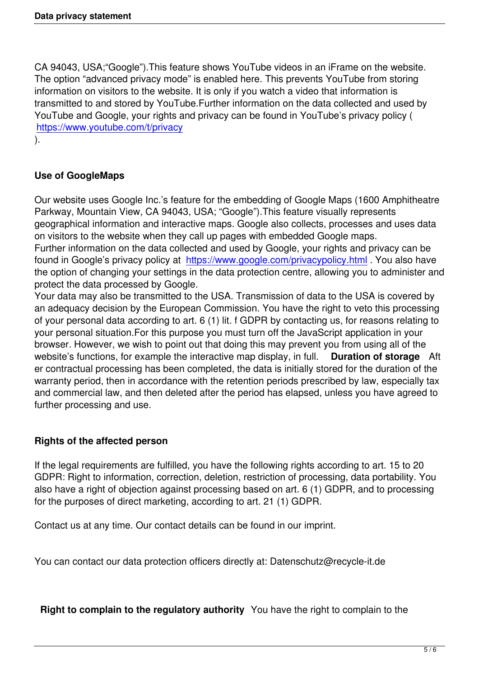CA 94043, USA;"Google").This feature shows YouTube videos in an iFrame on the website. The option "advanced privacy mode" is enabled here. This prevents YouTube from storing information on visitors to the website. It is only if you watch a video that information is transmitted to and stored by YouTube.Further information on the data collected and used by YouTube and Google, your rights and privacy can be found in YouTube's privacy policy ( https://www.youtube.com/t/privacy

).

## **[Use of GoogleMaps](https://www.youtube.com/t/privacy)**

Our website uses Google Inc.'s feature for the embedding of Google Maps (1600 Amphitheatre Parkway, Mountain View, CA 94043, USA; "Google").This feature visually represents geographical information and interactive maps. Google also collects, processes and uses data on visitors to the website when they call up pages with embedded Google maps. Further information on the data collected and used by Google, your rights and privacy can be found in Google's privacy policy at https://www.google.com/privacypolicy.html . You also have the option of changing your settings in the data protection centre, allowing you to administer and

protect the data processed by Google.

Your data may also be transmitted [to the USA. Transmission of data to the US](https://www.google.com/privacypolicy.html)A is covered by an adequacy decision by the European Commission. You have the right to veto this processing of your personal data according to art. 6 (1) lit. f GDPR by contacting us, for reasons relating to your personal situation.For this purpose you must turn off the JavaScript application in your browser. However, we wish to point out that doing this may prevent you from using all of the website's functions, for example the interactive map display, in full. **Duration of storage** Aft er contractual processing has been completed, the data is initially stored for the duration of the warranty period, then in accordance with the retention periods prescribed by law, especially tax and commercial law, and then deleted after the period has elapsed, unless you have agreed to further processing and use.

# **Rights of the affected person**

If the legal requirements are fulfilled, you have the following rights according to art. 15 to 20 GDPR: Right to information, correction, deletion, restriction of processing, data portability. You also have a right of objection against processing based on art. 6 (1) GDPR, and to processing for the purposes of direct marketing, according to art. 21 (1) GDPR.

Contact us at any time. Our contact details can be found in our imprint.

You can contact our data protection officers directly at: Datenschutz@recycle-it.de

**Right to complain to the regulatory authority** You have the right to complain to the